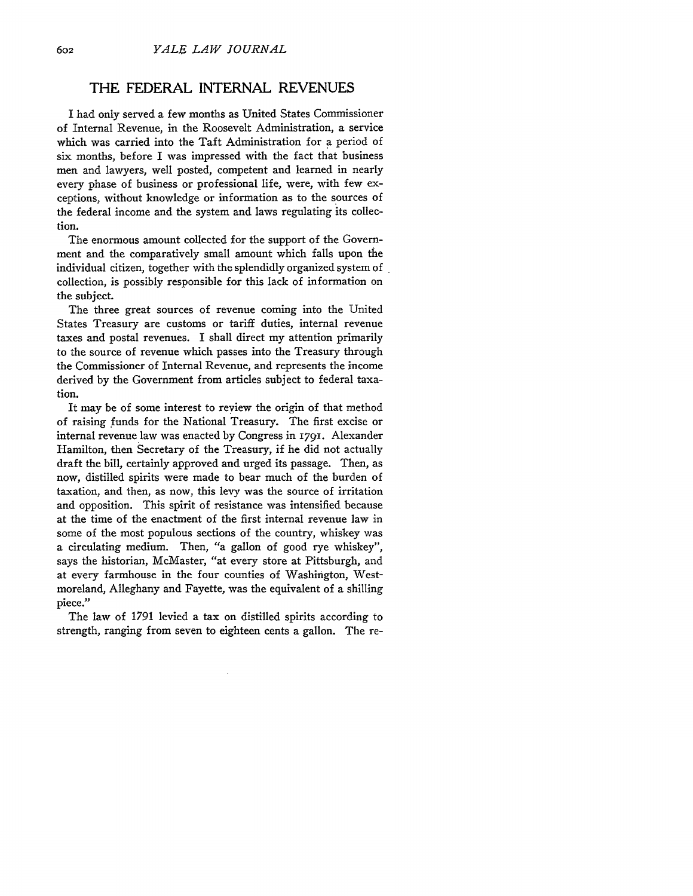## THE FEDERAL **INTERNAL REVENUES**

I had only served a few months as United States Commissioner of Internal Revenue, in the Roosevelt Administration, a service which was carried into the Taft Administration for a period of six months, before I was impressed with the fact that business men and lawyers, well posted, competent and learned in nearly every phase of business or professional life, were, with few exceptions, without knowledge or information as to the sources of the federal income and the system and laws regulating its collection.

The enormous amount collected for the support of the Government and the comparatively small amount which falls upon the individual citizen, together with the splendidly organized system of collection, is possibly responsible for this lack of information on the subject.

The three great sources of revenue coming into the United States Treasury are customs or tariff duties, internal revenue taxes and postal revenues. I shall direct my attention primarily to the source of revenue which passes into the Treasury through the Commissioner of Internal Revenue, and represents the income derived by the Government from articles subject to federal taxation.

It may be of some interest to review the origin of that method of raising funds for the National Treasury. The first excise or internal revenue law was enacted by Congress in 1791. Alexander Hamilton, then Secretary of the Treasury, if he did not actually draft the bill, certainly approved and urged its passage. Then, as now, distilled spirits were made to bear much of the burden of taxation, and then, as now, this levy was the source of irritation and opposition. This spirit of resistance was intensified because at the time of the enactment of the first internal revenue law in some of the most populous sections of the country, whiskey was a circulating medium. Then, "a gallon of good rye whiskey", says the historian, McMaster, "at every store at Pittsburgh, and at every farmhouse in the four counties of Washington, Westmoreland, Alleghany and Fayette, was the equivalent of a shilling piece."

The law of 1791 levied a tax on distilled spirits according to strength, ranging from seven to eighteen cents a gallon. The re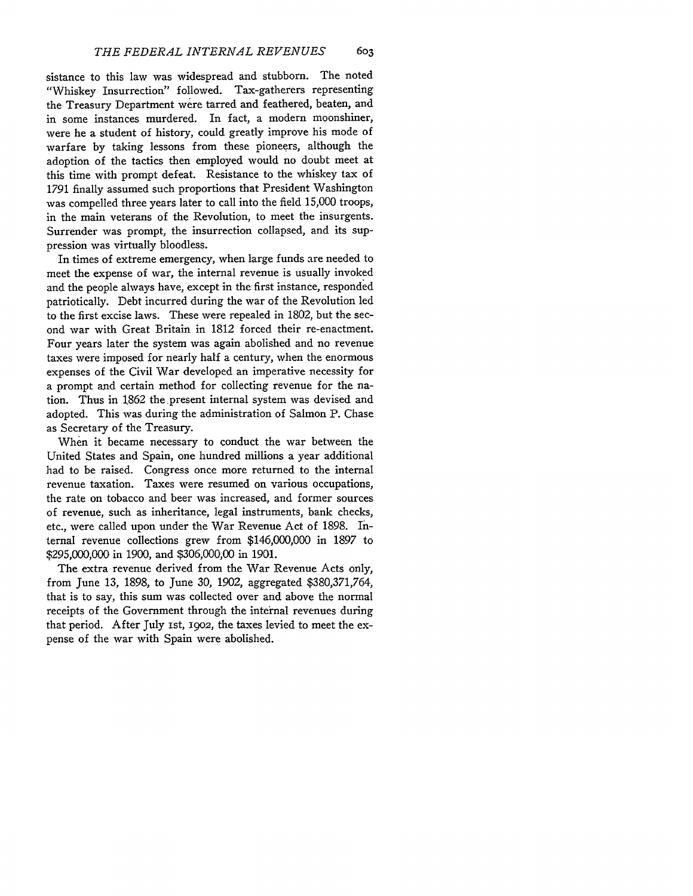sistance to this law was widespread and stubborn. The noted "Whiskey Insurrection" followed. Tax-gatherers representing the Treasury Department were tarred and feathered, beaten, and in some instances murdered. In fact, a modern moonshiner, were he a student of history, could greatly improve his mode of warfare **by** taking lessons from these pioneers, although the adoption of the tactics then employed would no doubt meet at this time with prompt defeat. Resistance to the whiskey tax of 1791 finally assumed such proportions that President Washington was compelled three years later to call into the field 15,000 troops, in the main veterans of the Revolution, to meet the insurgents. Surrender was prompt, the insurrection collapsed, and its suppression was virtually bloodless.

In times of extreme emergency, when large funds are needed to meet the expense of war, the internal revenue is usually invoked and the people always have, except in the first instance, responded patriotically. Debt incurred during the war of the Revolution led to the first excise laws. These were repealed in 1802, but the second war with Great Britain in 1812 forced their re-enactment. Four years later the system was again abolished and no revenue taxes were imposed for nearly half a century, when the enormous expenses of the Civil War developed an imperative necessity for a prompt and certain method for collecting revenue for the nation. Thus in **1862** the present internal system was devised and adopted. This was during the administration of Salmon P. Chase as Secretary of the Treasury.

When it became necessary to conduct the war between the United States and Spain, one hundred millions a year additional had to be raised. Congress once more returned to the internal revenue taxation. Taxes were resumed on various occupations, the rate on tobacco and beer was increased, and former sources of revenue, such as inheritance, legal instruments, bank checks, etc., were called upon under the War Revenue Act of 1898. Internal revenue collections grew from \$146,000,000 in 1897 to \$295,000,000 in 1900, and \$306,000,00 in 1901.

The extra revenue derived from the War Revenue Acts only, from June 13, 1898, to June 30, 1902, aggregated \$380,371,764, that is to say, this sum was collected over and above the normal receipts of the Government through the internal revenues during that period. After July ist, iqo2, the taxes levied to meet the expense of the war with Spain were abolished.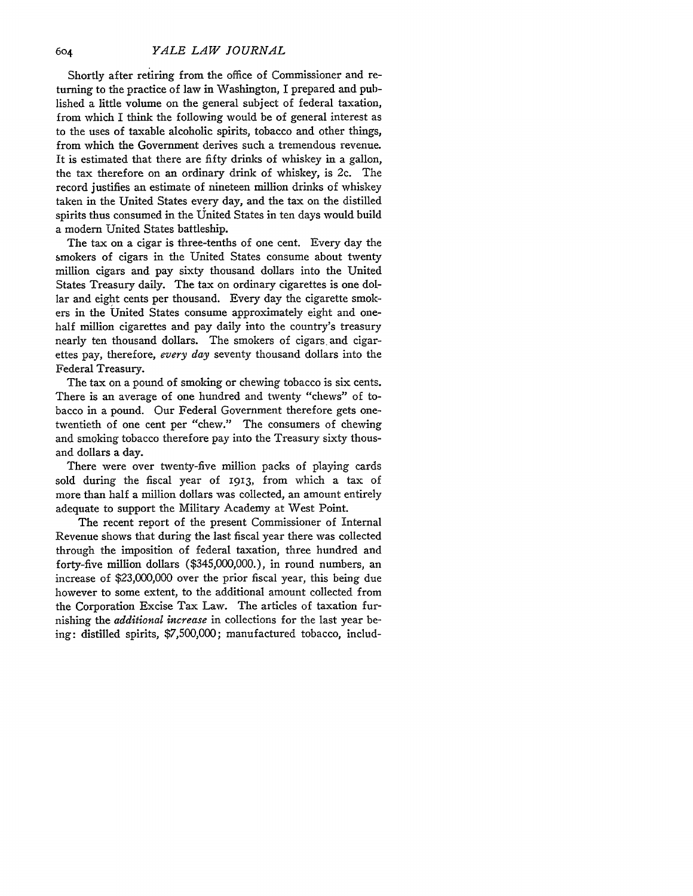Shortly after retiring from the office of Commissioner and returning to the practice of law in Washington, I prepared and published a little volume on the general subject of federal taxation, from which I think the following would be of general interest as to the uses of taxable alcoholic spirits, tobacco and other things, from which the Government derives such a tremendous revenue. It is estimated that there are fifty drinks of whiskey in a gallon, the tax therefore on an ordinary drink of whiskey, is 2c. The record justifies an estimate of nineteen million drinks of whiskey taken in the United States every day, and the tax on the distilled spirits thus consumed in the United States in ten days would build a modern United States battleship.

The tax on a cigar is three-tenths of one cent. Every day the smokers of cigars in the United States consume about twenty million cigars and pay sixty thousand dollars into the United States Treasury daily. The tax on ordinary cigarettes is one dollar and eight cents per thousand. Every day the cigarette smokers in the United States consume approximately eight and onehalf million cigarettes and pay daily into the country's treasury nearly ten thousand dollars. The smokers of cigars, and cigarettes pay, therefore, *every day* seventy thousand dollars into the Federal Treasury.

The tax on a pound of smoking or chewing tobacco is six cents. There is an average of one hundred and twenty "chews" of tobacco in a pound. Our Federal Government therefore gets onetwentieth of one cent per "chew." The consumers of chewing and smoking tobacco therefore pay into the Treasury sixty thousand dollars a day.

There were over twenty-five million packs of playing cards sold during the fiscal year of 1913, from which a tax of more than half a million dollars was collected, an amount entirely adequate to support the Military Academy at West Point.

The recent report of the present Commissioner of Internal Revenue shows that during the last fiscal year there was collected through the imposition of federal taxation, three hundred and forty-five million dollars (\$345,000,000.), in round numbers, an increase of \$23,000,000 over the prior fiscal year, this being due however to some extent, to the additional amount collected from the Corporation Excise Tax Law. The articles of taxation furnishing the *additional increase* in collections for the last year being: distilled spirits, \$7,500,000; manufactured tobacco, includ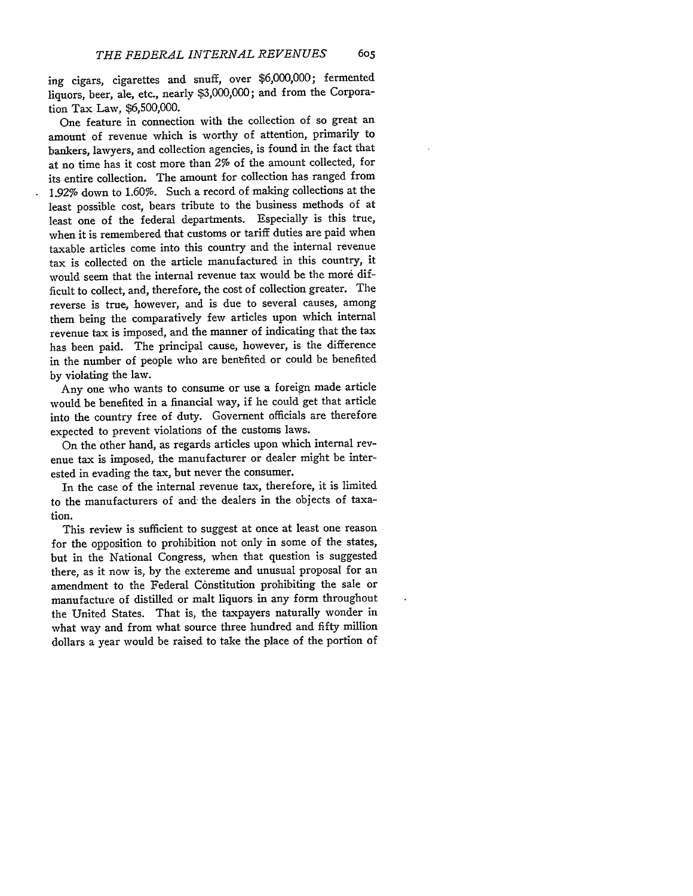ing cigars, cigarettes and snuff, over \$6,000,000; fermented liquors, beer, ale, etc., nearly \$3,000,000; and from the Corporation Tax Law, \$6,500,000.

One feature in connection with the collection of so great an amount of revenue which is worthy of attention, primarily to bankers, lawyers, and collection agencies, is found in the fact that at no time has it cost more than 2% of the amount collected, for its entire collection. The amount for collection has ranged from 1.92% down to 1.60%. Such a record of making collections at the least possible cost, bears tribute to the business methods of at least one of the federal departments. Especially is this true, when it is remembered that customs or tariff duties are paid when taxable articles come into this country and the internal revenue tax is collected on the article manufactured in this country, it would seem that the internal revenue tax would be the more difficult to collect, and, therefore, the cost of collection greater. The reverse is true, however, and is due to several causes, among them being the comparatively few articles upon which internal revenue tax is imposed, and the manner of indicating that the tax has been paid. The principal cause, however, is the difference in the number of people who are benefited or could be benefited by violating the law.

Any one who wants to consume or use a foreign made article would be benefited in a financial way, if he could get that article into the country free of duty. Governent officials are therefore expected to prevent violations of the customs laws.

On the other hand, as regards articles upon which internal revenue tax is imposed, the manufacturer or dealer might be interested in evading the tax, but never the consumer.

In the case of the internal revenue tax, therefore, it is limited to the manufacturers of and the dealers in the objects of taxation.

This review is sufficient to suggest at once at least one reason for the opposition to prohibition not only in some of the states, but in the National Congress, when that question is suggested there, as it now is, by the extereme and unusual proposal for an amendment to the Federal Constitution prohibiting the sale or manufacture of distilled or malt liquors in any form throughout the United States. That is, the taxpayers naturally wonder in what way and from what source three hundred and fifty million dollars a year would be raised to take the place of the portion of